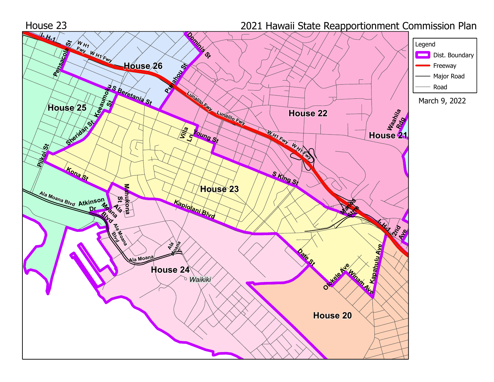